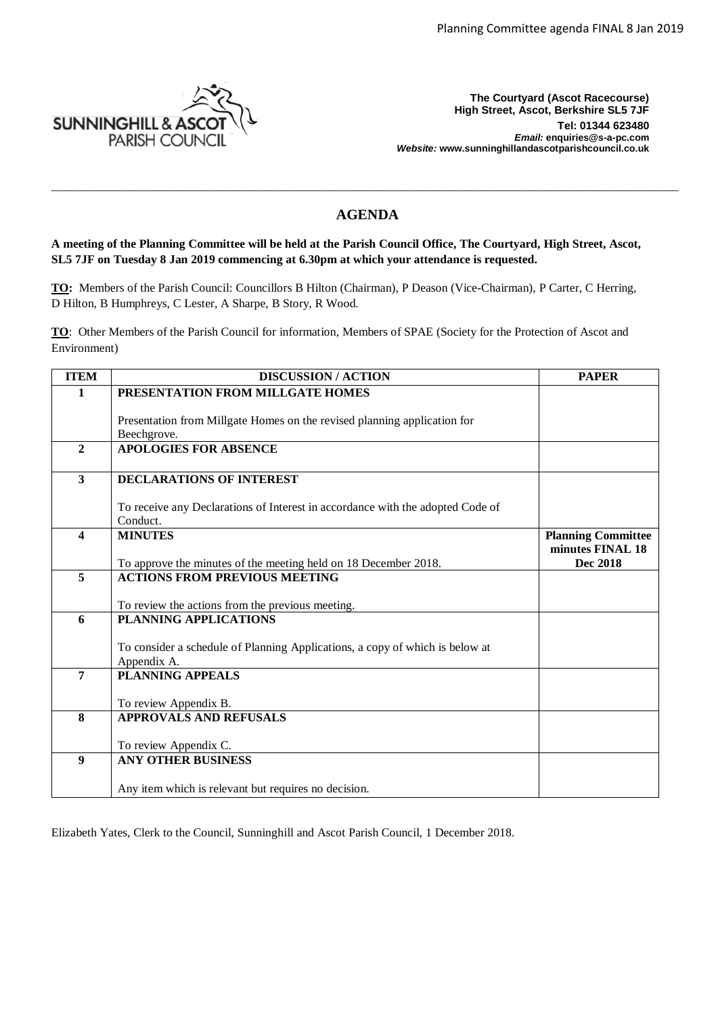

**The Courtyard (Ascot Racecourse) High Street, Ascot, Berkshire SL5 7JF Tel: 01344 623480**  *Email:* **enquiries@s-a-pc.com** *Website:* **www.sunninghillandascotparishcouncil.co.uk**

# **AGENDA**

\_\_\_\_\_\_\_\_\_\_\_\_\_\_\_\_\_\_\_\_\_\_\_\_\_\_\_\_\_\_\_\_\_\_\_\_\_\_\_\_\_\_\_\_\_\_\_\_\_\_\_\_\_\_\_\_\_\_\_\_\_\_\_\_\_\_\_\_\_\_\_\_\_\_\_\_\_\_\_\_\_\_\_\_\_\_\_\_\_\_\_\_\_\_\_\_\_\_\_\_\_\_\_\_

**A meeting of the Planning Committee will be held at the Parish Council Office, The Courtyard, High Street, Ascot, SL5 7JF on Tuesday 8 Jan 2019 commencing at 6.30pm at which your attendance is requested.**

**TO:** Members of the Parish Council: Councillors B Hilton (Chairman), P Deason (Vice-Chairman), P Carter, C Herring, D Hilton, B Humphreys, C Lester, A Sharpe, B Story, R Wood.

**TO**: Other Members of the Parish Council for information, Members of SPAE (Society for the Protection of Ascot and Environment)

| <b>ITEM</b>             | <b>DISCUSSION / ACTION</b>                                                                              | <b>PAPER</b>              |
|-------------------------|---------------------------------------------------------------------------------------------------------|---------------------------|
| $\mathbf{1}$            | PRESENTATION FROM MILLGATE HOMES                                                                        |                           |
|                         |                                                                                                         |                           |
|                         | Presentation from Millgate Homes on the revised planning application for                                |                           |
| $\overline{2}$          | Beechgrove.<br><b>APOLOGIES FOR ABSENCE</b>                                                             |                           |
|                         |                                                                                                         |                           |
| $\overline{3}$          | <b>DECLARATIONS OF INTEREST</b>                                                                         |                           |
|                         |                                                                                                         |                           |
|                         | To receive any Declarations of Interest in accordance with the adopted Code of                          |                           |
|                         | Conduct.                                                                                                |                           |
| $\overline{\mathbf{4}}$ | <b>MINUTES</b>                                                                                          | <b>Planning Committee</b> |
|                         |                                                                                                         | minutes FINAL 18          |
| 5                       | To approve the minutes of the meeting held on 18 December 2018.<br><b>ACTIONS FROM PREVIOUS MEETING</b> | <b>Dec 2018</b>           |
|                         |                                                                                                         |                           |
|                         | To review the actions from the previous meeting.                                                        |                           |
| 6                       | <b>PLANNING APPLICATIONS</b>                                                                            |                           |
|                         |                                                                                                         |                           |
|                         | To consider a schedule of Planning Applications, a copy of which is below at                            |                           |
|                         | Appendix A.                                                                                             |                           |
| $\overline{7}$          | <b>PLANNING APPEALS</b>                                                                                 |                           |
|                         | To review Appendix B.                                                                                   |                           |
| 8                       | <b>APPROVALS AND REFUSALS</b>                                                                           |                           |
|                         |                                                                                                         |                           |
|                         | To review Appendix C.                                                                                   |                           |
| $\boldsymbol{9}$        | <b>ANY OTHER BUSINESS</b>                                                                               |                           |
|                         |                                                                                                         |                           |
|                         | Any item which is relevant but requires no decision.                                                    |                           |

Elizabeth Yates, Clerk to the Council, Sunninghill and Ascot Parish Council, 1 December 2018.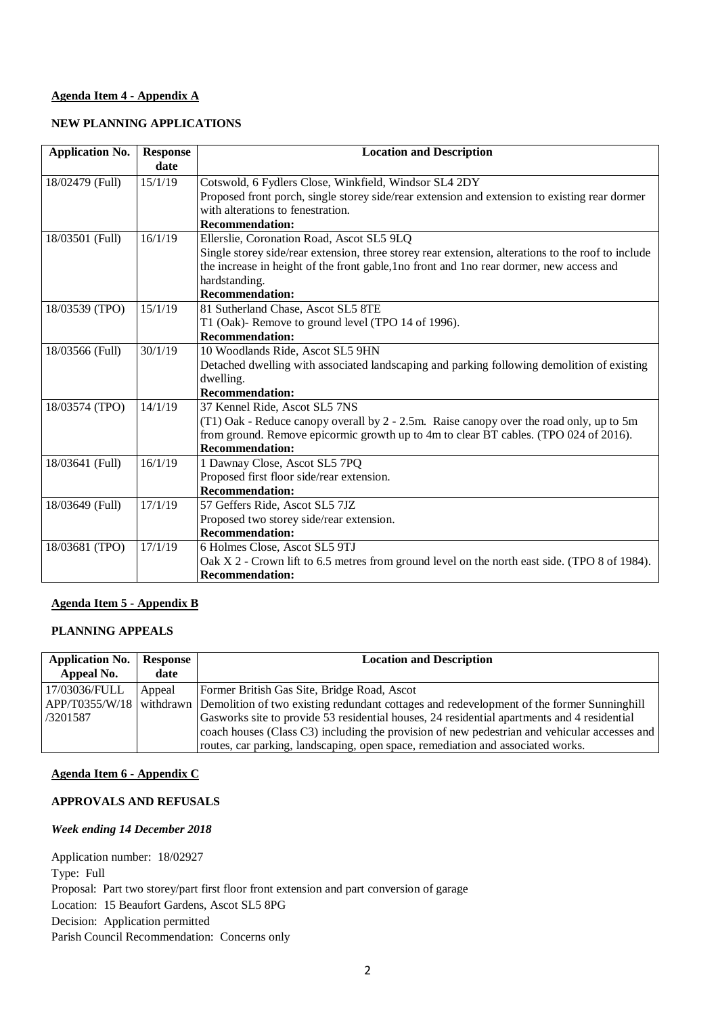### **Agenda Item 4 - Appendix A**

### **NEW PLANNING APPLICATIONS**

| <b>Application No.</b> | <b>Response</b><br>date | <b>Location and Description</b>                                                                    |
|------------------------|-------------------------|----------------------------------------------------------------------------------------------------|
| 18/02479 (Full)        | 15/1/19                 | Cotswold, 6 Fydlers Close, Winkfield, Windsor SL4 2DY                                              |
|                        |                         | Proposed front porch, single storey side/rear extension and extension to existing rear dormer      |
|                        |                         | with alterations to fenestration.                                                                  |
|                        |                         | <b>Recommendation:</b>                                                                             |
| 18/03501 (Full)        | 16/1/19                 | Ellerslie, Coronation Road, Ascot SL5 9LQ                                                          |
|                        |                         | Single storey side/rear extension, three storey rear extension, alterations to the roof to include |
|                        |                         | the increase in height of the front gable, 1 no front and 1 no rear dormer, new access and         |
|                        |                         | hardstanding.                                                                                      |
|                        |                         | <b>Recommendation:</b>                                                                             |
| 18/03539 (TPO)         | 15/1/19                 | 81 Sutherland Chase, Ascot SL5 8TE                                                                 |
|                        |                         | T1 (Oak)- Remove to ground level (TPO 14 of 1996).                                                 |
|                        |                         | <b>Recommendation:</b>                                                                             |
| 18/03566 (Full)        | 30/1/19                 | 10 Woodlands Ride, Ascot SL5 9HN                                                                   |
|                        |                         | Detached dwelling with associated landscaping and parking following demolition of existing         |
|                        |                         | dwelling.                                                                                          |
|                        |                         | <b>Recommendation:</b>                                                                             |
| 18/03574 (TPO)         | 14/1/19                 | 37 Kennel Ride, Ascot SL5 7NS                                                                      |
|                        |                         | (T1) Oak - Reduce canopy overall by 2 - 2.5m. Raise canopy over the road only, up to 5m            |
|                        |                         | from ground. Remove epicormic growth up to 4m to clear BT cables. (TPO 024 of 2016).               |
|                        |                         | <b>Recommendation:</b>                                                                             |
| 18/03641 (Full)        | 16/1/19                 | 1 Dawnay Close, Ascot SL5 7PQ                                                                      |
|                        |                         | Proposed first floor side/rear extension.                                                          |
|                        |                         | <b>Recommendation:</b>                                                                             |
| 18/03649 (Full)        | 17/1/19                 | 57 Geffers Ride, Ascot SL5 7JZ                                                                     |
|                        |                         | Proposed two storey side/rear extension.                                                           |
|                        |                         | <b>Recommendation:</b>                                                                             |
| 18/03681 (TPO)         | 17/1/19                 | 6 Holmes Close, Ascot SL5 9TJ                                                                      |
|                        |                         | Oak X 2 - Crown lift to 6.5 metres from ground level on the north east side. (TPO 8 of 1984).      |
|                        |                         | <b>Recommendation:</b>                                                                             |

### **Agenda Item 5 - Appendix B**

## **PLANNING APPEALS**

| <b>Application No.</b><br>Appeal No. | Response<br>date | <b>Location and Description</b>                                                                     |
|--------------------------------------|------------------|-----------------------------------------------------------------------------------------------------|
| 17/03036/FULL                        | Appeal           | Former British Gas Site, Bridge Road, Ascot                                                         |
| APP/T0355/W/18                       |                  | withdrawn Demolition of two existing redundant cottages and redevelopment of the former Sunninghill |
| /3201587                             |                  | Gasworks site to provide 53 residential houses, 24 residential apartments and 4 residential         |
|                                      |                  | coach houses (Class C3) including the provision of new pedestrian and vehicular accesses and        |
|                                      |                  | routes, car parking, landscaping, open space, remediation and associated works.                     |

### **Agenda Item 6 - Appendix C**

## **APPROVALS AND REFUSALS**

#### *Week ending 14 December 2018*

Application number: 18/02927 Type: Full Proposal: Part two storey/part first floor front extension and part conversion of garage Location: 15 Beaufort Gardens, Ascot SL5 8PG Decision: Application permitted Parish Council Recommendation: Concerns only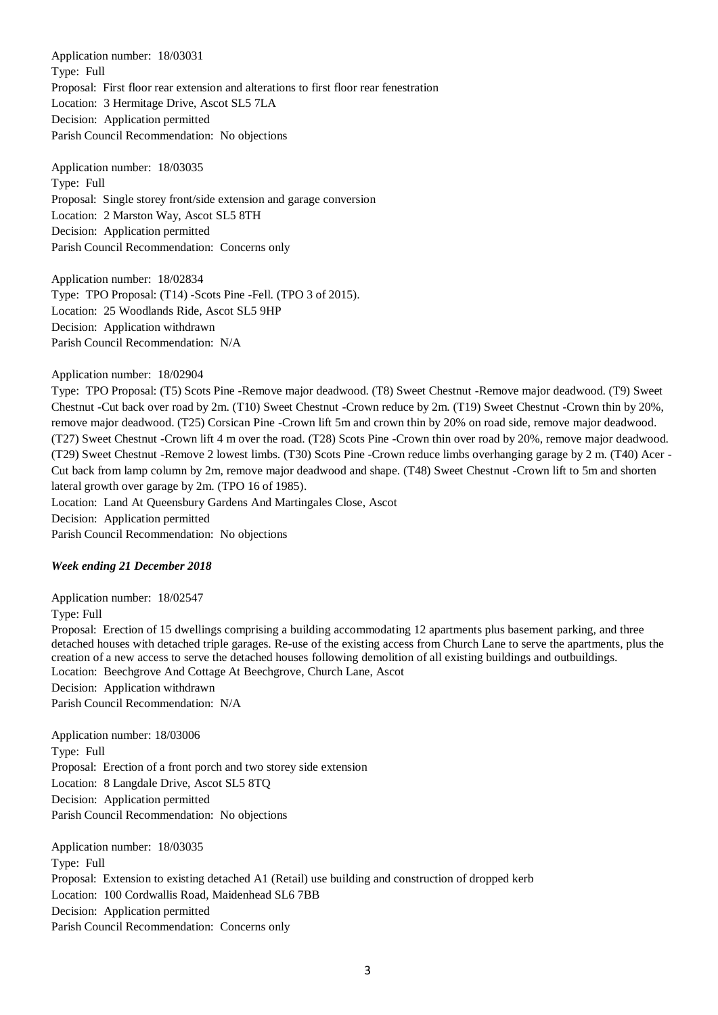Application number: 18/03031 Type: Full Proposal: First floor rear extension and alterations to first floor rear fenestration Location: 3 Hermitage Drive, Ascot SL5 7LA Decision: Application permitted Parish Council Recommendation: No objections

Application number: 18/03035 Type: Full Proposal: Single storey front/side extension and garage conversion Location: 2 Marston Way, Ascot SL5 8TH Decision: Application permitted Parish Council Recommendation: Concerns only

Application number: 18/02834 Type: TPO Proposal: (T14) -Scots Pine -Fell. (TPO 3 of 2015). Location: 25 Woodlands Ride, Ascot SL5 9HP Decision: Application withdrawn Parish Council Recommendation: N/A

Application number: 18/02904

Type: TPO Proposal: (T5) Scots Pine -Remove major deadwood. (T8) Sweet Chestnut -Remove major deadwood. (T9) Sweet Chestnut -Cut back over road by 2m. (T10) Sweet Chestnut -Crown reduce by 2m. (T19) Sweet Chestnut -Crown thin by 20%, remove major deadwood. (T25) Corsican Pine -Crown lift 5m and crown thin by 20% on road side, remove major deadwood. (T27) Sweet Chestnut -Crown lift 4 m over the road. (T28) Scots Pine -Crown thin over road by 20%, remove major deadwood. (T29) Sweet Chestnut -Remove 2 lowest limbs. (T30) Scots Pine -Crown reduce limbs overhanging garage by 2 m. (T40) Acer - Cut back from lamp column by 2m, remove major deadwood and shape. (T48) Sweet Chestnut -Crown lift to 5m and shorten lateral growth over garage by 2m. (TPO 16 of 1985).

Location: Land At Queensbury Gardens And Martingales Close, Ascot Decision: Application permitted Parish Council Recommendation: No objections

#### *Week ending 21 December 2018*

Application number: 18/02547 Type: Full Proposal: Erection of 15 dwellings comprising a building accommodating 12 apartments plus basement parking, and three detached houses with detached triple garages. Re-use of the existing access from Church Lane to serve the apartments, plus the creation of a new access to serve the detached houses following demolition of all existing buildings and outbuildings. Location: Beechgrove And Cottage At Beechgrove, Church Lane, Ascot Decision: Application withdrawn Parish Council Recommendation: N/A

Application number: 18/03006 Type: Full Proposal: Erection of a front porch and two storey side extension Location: 8 Langdale Drive, Ascot SL5 8TQ Decision: Application permitted Parish Council Recommendation: No objections

Application number: 18/03035 Type: Full Proposal: Extension to existing detached A1 (Retail) use building and construction of dropped kerb Location: 100 Cordwallis Road, Maidenhead SL6 7BB Decision: Application permitted Parish Council Recommendation: Concerns only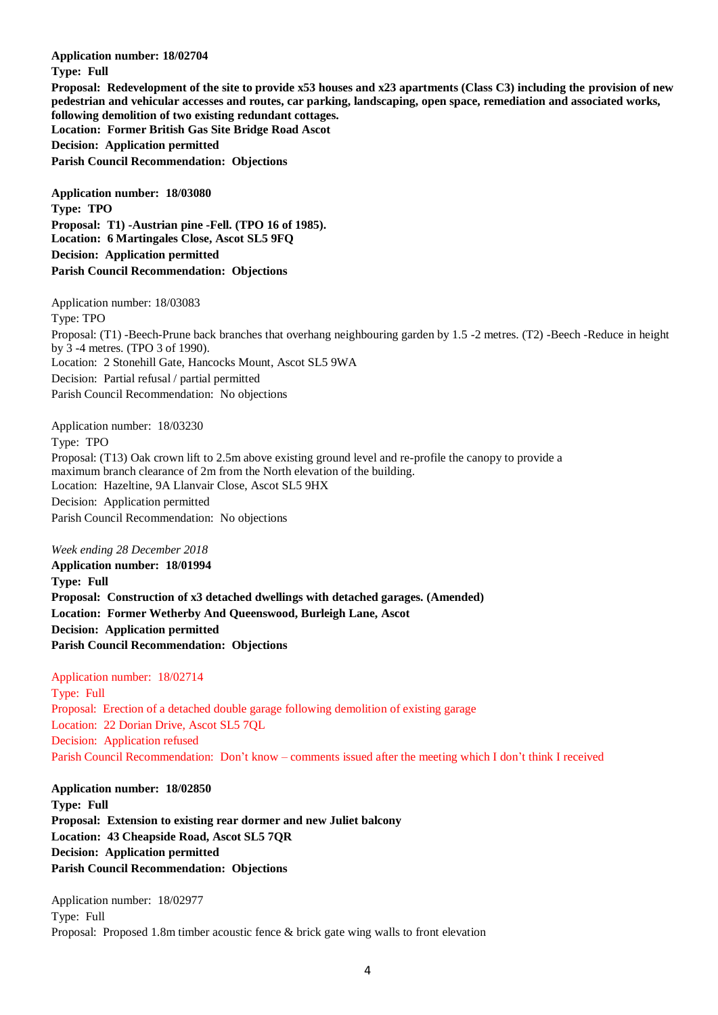**Application number: 18/02704 Type: Full Proposal: Redevelopment of the site to provide x53 houses and x23 apartments (Class C3) including the provision of new pedestrian and vehicular accesses and routes, car parking, landscaping, open space, remediation and associated works, following demolition of two existing redundant cottages. Location: Former British Gas Site Bridge Road Ascot Decision: Application permitted Parish Council Recommendation: Objections**

**Application number: 18/03080 Type: TPO Proposal: T1) -Austrian pine -Fell. (TPO 16 of 1985). Location: 6 Martingales Close, Ascot SL5 9FQ Decision: Application permitted Parish Council Recommendation: Objections**

Application number: 18/03083 Type: TPO Proposal: (T1) -Beech-Prune back branches that overhang neighbouring garden by 1.5 -2 metres. (T2) -Beech -Reduce in height by 3 -4 metres. (TPO 3 of 1990). Location: 2 Stonehill Gate, Hancocks Mount, Ascot SL5 9WA Decision: Partial refusal / partial permitted Parish Council Recommendation: No objections

Application number: 18/03230 Type: TPO Proposal: (T13) Oak crown lift to 2.5m above existing ground level and re-profile the canopy to provide a maximum branch clearance of 2m from the North elevation of the building. Location: Hazeltine, 9A Llanvair Close, Ascot SL5 9HX Decision: Application permitted Parish Council Recommendation: No objections

*Week ending 28 December 2018*

**Application number: 18/01994 Type: Full Proposal: Construction of x3 detached dwellings with detached garages. (Amended) Location: Former Wetherby And Queenswood, Burleigh Lane, Ascot Decision: Application permitted Parish Council Recommendation: Objections**

Application number: 18/02714 Type: Full Proposal: Erection of a detached double garage following demolition of existing garage Location: 22 Dorian Drive, Ascot SL5 7QL Decision: Application refused Parish Council Recommendation: Don't know – comments issued after the meeting which I don't think I received

**Application number: 18/02850 Type: Full Proposal: Extension to existing rear dormer and new Juliet balcony Location: 43 Cheapside Road, Ascot SL5 7QR Decision: Application permitted Parish Council Recommendation: Objections**

Application number: 18/02977 Type: Full Proposal: Proposed 1.8m timber acoustic fence & brick gate wing walls to front elevation